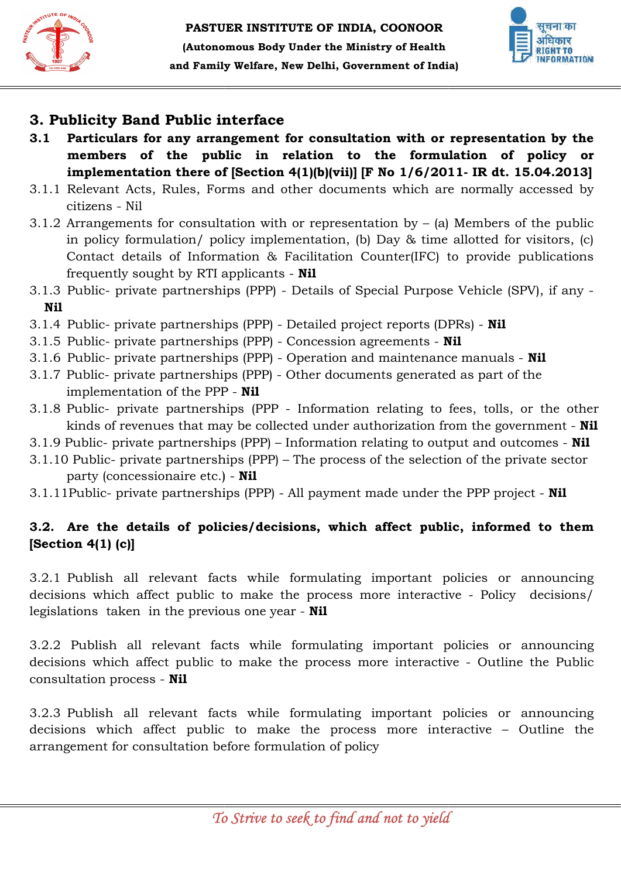



# 3. Publicity Band Public interface

- 3.1 Particulars for any arrangement for consultation with or representation by the members of the public in relation to the formulation of policy or implementation there of [Section 4(1)(b)(vii)] [F No 1/6/2011- IR dt. 15.04.2013] for any arrangement for consultation with or representation by the<br>of the public in relation to the formulation of policy or<br>ation there of [Section 4(1)(b)(vii)] [F No  $1/6/2011$ - IR dt. 15.04.2013]
- 3.1.1 Relevant Acts, Rules, Forms and other documents which are normally accessed by citizens - Nil 3.1.1 Relevant Acts, Rules, Forms and other documents which are normally accessed by<br>citizens - Nil<br>3.1.2 Arrangements for consultation with or representation by – (a) Members of the public
- in policy formulation/ policy implementation, (b) Day & time allotted for visitors, (c) Contact details of Information  $\&$  Facilitation Counter(IFC) to provide publications frequently sought by RTI applicants - Nil **interface**<br> **and biblic in relation with or the formulable in relation to the formulable in relation to the formula for the formula of Herion 4(1)(b)(vii)] [F No 1/6/20 orms and other documents which are lation with or r**
- 3.1.3 Public- private partnerships (PPP) Details of Special Purpose Vehicle (SPV), if any -Nil
- 3.1.4 Public- private partnerships (PPP) Detailed project reports (DPRs) **Nil**
- 3.1.5 Public- private partnerships (PPP) Concession agreements Nil
- 3.1.6 Public- private partnerships (PPP) Operation and maintenance manuals **Nil**
- 3.1.7 Public- private partnerships (PPP) Other documents generated as part part of the implementation of the PPP - Nil
- 3.1.8 Public- private partnerships (PPP Information relating to fees, tolls, or the other kinds of revenues that may be collected under authorization from the government - **Nil**
- 3.1.9 Public- private partnerships (PPP) Information relating to output and outcomes **Nil**
- 3.1.10 Public- private partnerships (PPP) The process of the selection of the private sector party (concessionaire etc.) - Nil
- 3.1.11Public- private partnerships (PPP) All payment made under the PPP project **Nil**

## 3.2. Are the details of policies/decisions, which affect public, informed to them [Section 4(1) (c)]

3.2.1 Publish all relevant facts while formulating important policies or announcing decisions which affect public to make the process more interactive - Policy decisions/<br>legislations taken in the previous one year - **Nil** legislations taken in the previous one year - Nil

3.2.2 Publish all relevant facts while formulating important policies or announcing decisions which affect public to make the process more interactive - Outline the Public consultation process - Nil

3.2.3 Publish all relevant facts while formulating important policies or announcing decisions which affect public to make the process more interactive – Outline the<br>arrangement for consultation before formulation of policy arrangement for consultation before formulation